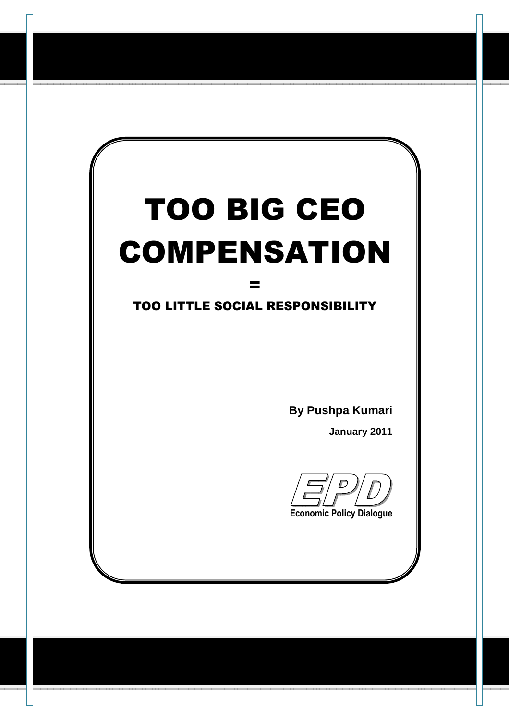# TOO BIG CEO COMPENSATION

## TOO LITTLE SOCIAL RESPONSIBILITY

=

**By Pushpa Kumari** 

**January 2011**

**Economic Policy Dialogue**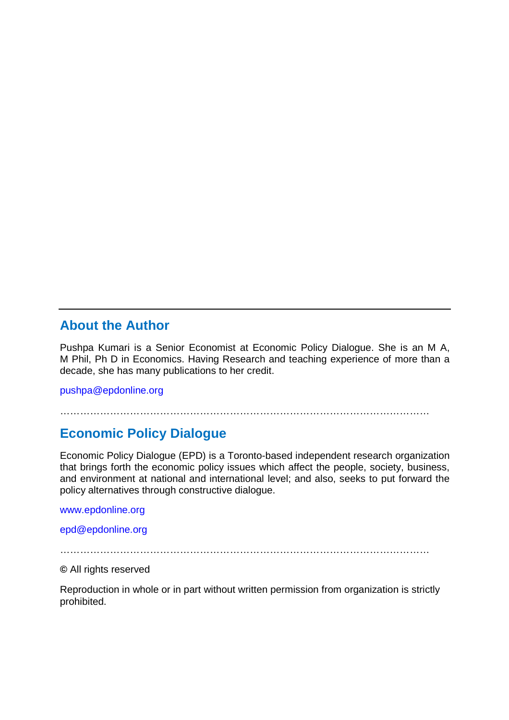#### **About the Author**

Pushpa Kumari is a Senior Economist at Economic Policy Dialogue. She is an M A, M Phil, Ph D in Economics. Having Research and teaching experience of more than a decade, she has many publications to her credit.

pushpa@epdonline.org

…………………………………………………………………………………………………

#### **Economic Policy Dialogue**

Economic Policy Dialogue (EPD) is a Toronto-based independent research organization that brings forth the economic policy issues which affect the people, society, business, and environment at national and international level; and also, seeks to put forward the policy alternatives through constructive dialogue.

www.epdonline.org

epd@epdonline.org

…………………………………………………………………………………………………

**©** All rights reserved

Reproduction in whole or in part without written permission from organization is strictly prohibited.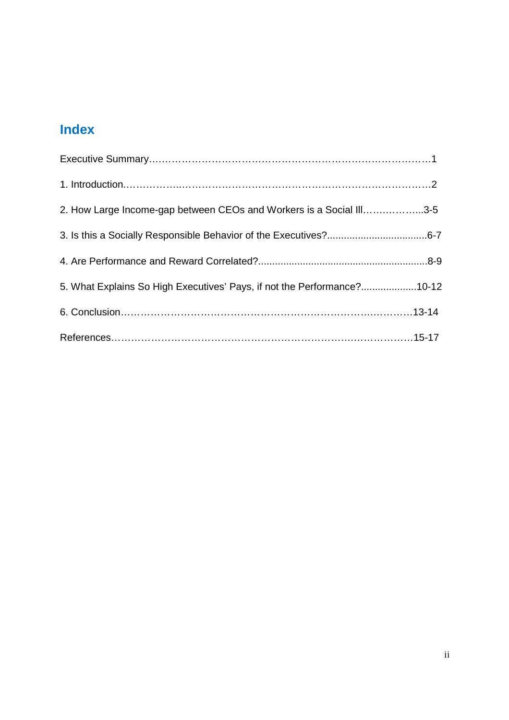## **Index**

| 2. How Large Income-gap between CEOs and Workers is a Social III3-5     |  |
|-------------------------------------------------------------------------|--|
|                                                                         |  |
|                                                                         |  |
| 5. What Explains So High Executives' Pays, if not the Performance?10-12 |  |
|                                                                         |  |
|                                                                         |  |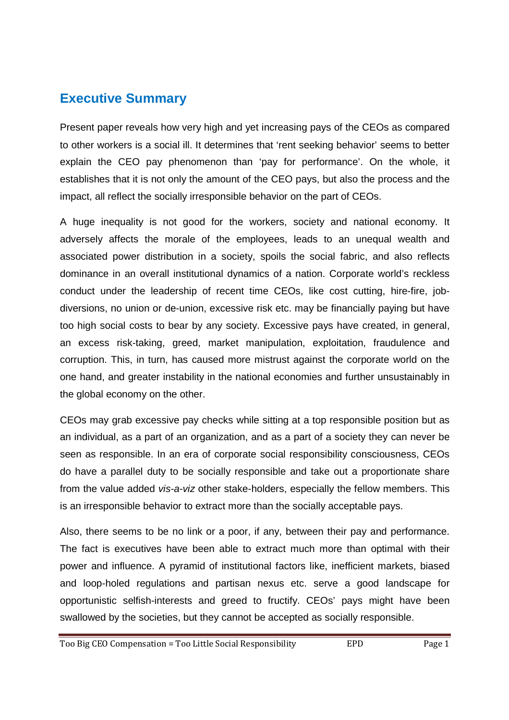### **Executive Summary**

Present paper reveals how very high and yet increasing pays of the CEOs as compared to other workers is a social ill. It determines that 'rent seeking behavior' seems to better explain the CEO pay phenomenon than 'pay for performance'. On the whole, it establishes that it is not only the amount of the CEO pays, but also the process and the impact, all reflect the socially irresponsible behavior on the part of CEOs.

A huge inequality is not good for the workers, society and national economy. It adversely affects the morale of the employees, leads to an unequal wealth and associated power distribution in a society, spoils the social fabric, and also reflects dominance in an overall institutional dynamics of a nation. Corporate world's reckless conduct under the leadership of recent time CEOs, like cost cutting, hire-fire, jobdiversions, no union or de-union, excessive risk etc. may be financially paying but have too high social costs to bear by any society. Excessive pays have created, in general, an excess risk-taking, greed, market manipulation, exploitation, fraudulence and corruption. This, in turn, has caused more mistrust against the corporate world on the one hand, and greater instability in the national economies and further unsustainably in the global economy on the other.

CEOs may grab excessive pay checks while sitting at a top responsible position but as an individual, as a part of an organization, and as a part of a society they can never be seen as responsible. In an era of corporate social responsibility consciousness, CEOs do have a parallel duty to be socially responsible and take out a proportionate share from the value added vis-a-viz other stake-holders, especially the fellow members. This is an irresponsible behavior to extract more than the socially acceptable pays.

Also, there seems to be no link or a poor, if any, between their pay and performance. The fact is executives have been able to extract much more than optimal with their power and influence. A pyramid of institutional factors like, inefficient markets, biased and loop-holed regulations and partisan nexus etc. serve a good landscape for opportunistic selfish-interests and greed to fructify. CEOs' pays might have been swallowed by the societies, but they cannot be accepted as socially responsible.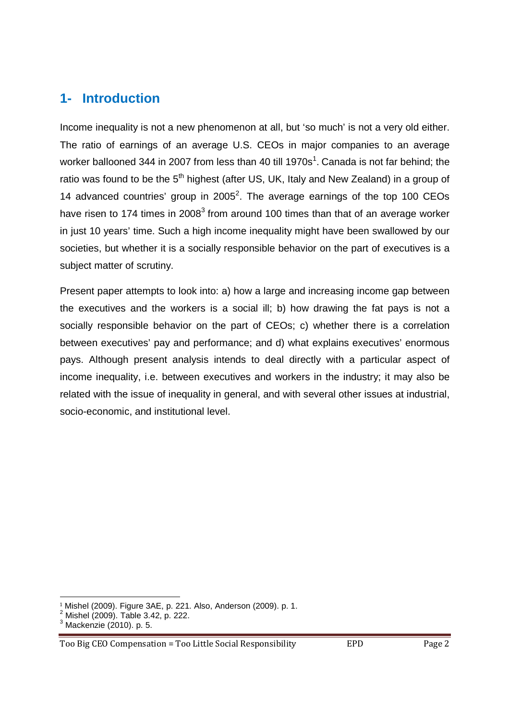## **1- Introduction**

Income inequality is not a new phenomenon at all, but 'so much' is not a very old either. The ratio of earnings of an average U.S. CEOs in major companies to an average worker ballooned 344 in 2007 from less than 40 till 1970s<sup>1</sup>. Canada is not far behind; the ratio was found to be the 5<sup>th</sup> highest (after US, UK, Italy and New Zealand) in a group of 14 advanced countries' group in  $2005^2$ . The average earnings of the top 100 CEOs have risen to 174 times in 2008 $3$  from around 100 times than that of an average worker in just 10 years' time. Such a high income inequality might have been swallowed by our societies, but whether it is a socially responsible behavior on the part of executives is a subject matter of scrutiny.

Present paper attempts to look into: a) how a large and increasing income gap between the executives and the workers is a social ill; b) how drawing the fat pays is not a socially responsible behavior on the part of CEOs; c) whether there is a correlation between executives' pay and performance; and d) what explains executives' enormous pays. Although present analysis intends to deal directly with a particular aspect of income inequality, i.e. between executives and workers in the industry; it may also be related with the issue of inequality in general, and with several other issues at industrial, socio-economic, and institutional level.

<u>.</u>

<sup>&</sup>lt;sup>1</sup> Mishel (2009). Figure 3AE, p. 221. Also, Anderson (2009). p. 1.<br><sup>2</sup> Mishel (2009). Table 3.42, p. 222.

<sup>3</sup> Mackenzie (2010). p. 5.

Too Big CEO Compensation = Too Little Social Responsibility EPD Page 2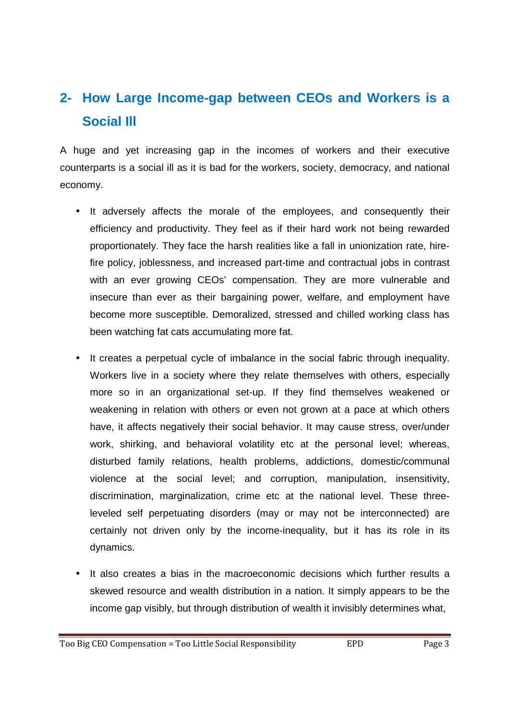## **2- How Large Income-gap between CEOs and Workers is a Social Ill**

A huge and yet increasing gap in the incomes of workers and their executive counterparts is a social ill as it is bad for the workers, society, democracy, and national economy.

- It adversely affects the morale of the employees, and consequently their efficiency and productivity. They feel as if their hard work not being rewarded proportionately. They face the harsh realities like a fall in unionization rate, hirefire policy, joblessness, and increased part-time and contractual jobs in contrast with an ever growing CEOs' compensation. They are more vulnerable and insecure than ever as their bargaining power, welfare, and employment have become more susceptible. Demoralized, stressed and chilled working class has been watching fat cats accumulating more fat.
- It creates a perpetual cycle of imbalance in the social fabric through inequality. Workers live in a society where they relate themselves with others, especially more so in an organizational set-up. If they find themselves weakened or weakening in relation with others or even not grown at a pace at which others have, it affects negatively their social behavior. It may cause stress, over/under work, shirking, and behavioral volatility etc at the personal level; whereas, disturbed family relations, health problems, addictions, domestic/communal violence at the social level; and corruption, manipulation, insensitivity, discrimination, marginalization, crime etc at the national level. These threeleveled self perpetuating disorders (may or may not be interconnected) are certainly not driven only by the income-inequality, but it has its role in its dynamics.
- It also creates a bias in the macroeconomic decisions which further results a skewed resource and wealth distribution in a nation. It simply appears to be the income gap visibly, but through distribution of wealth it invisibly determines what,

Too Big CEO Compensation = Too Little Social Responsibility  $EPD$  Page 3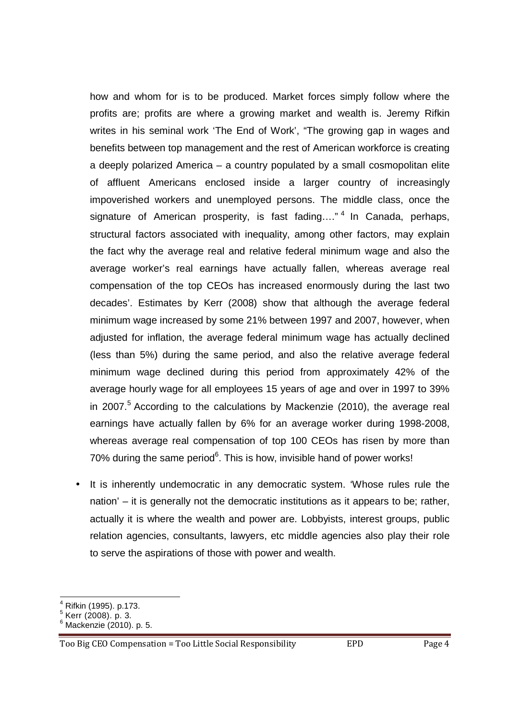how and whom for is to be produced. Market forces simply follow where the profits are; profits are where a growing market and wealth is. Jeremy Rifkin writes in his seminal work 'The End of Work', "The growing gap in wages and benefits between top management and the rest of American workforce is creating a deeply polarized America – a country populated by a small cosmopolitan elite of affluent Americans enclosed inside a larger country of increasingly impoverished workers and unemployed persons. The middle class, once the signature of American prosperity, is fast fading...."<sup>4</sup> In Canada, perhaps, structural factors associated with inequality, among other factors, may explain the fact why the average real and relative federal minimum wage and also the average worker's real earnings have actually fallen, whereas average real compensation of the top CEOs has increased enormously during the last two decades'. Estimates by Kerr (2008) show that although the average federal minimum wage increased by some 21% between 1997 and 2007, however, when adjusted for inflation, the average federal minimum wage has actually declined (less than 5%) during the same period, and also the relative average federal minimum wage declined during this period from approximately 42% of the average hourly wage for all employees 15 years of age and over in 1997 to 39% in 2007.<sup>5</sup> According to the calculations by Mackenzie (2010), the average real earnings have actually fallen by 6% for an average worker during 1998-2008, whereas average real compensation of top 100 CEOs has risen by more than 70% during the same period $6$ . This is how, invisible hand of power works!

It is inherently undemocratic in any democratic system. 'Whose rules rule the nation' – it is generally not the democratic institutions as it appears to be; rather, actually it is where the wealth and power are. Lobbyists, interest groups, public relation agencies, consultants, lawyers, etc middle agencies also play their role to serve the aspirations of those with power and wealth.

<sup>–&</sup>lt;br><sup>4</sup> Rifkin (1995). p.173.<br><sup>5</sup> Kerr (2008). p. 3.

<sup>6</sup> Mackenzie (2010). p. 5.

Too Big CEO Compensation = Too Little Social Responsibility EPD Page 4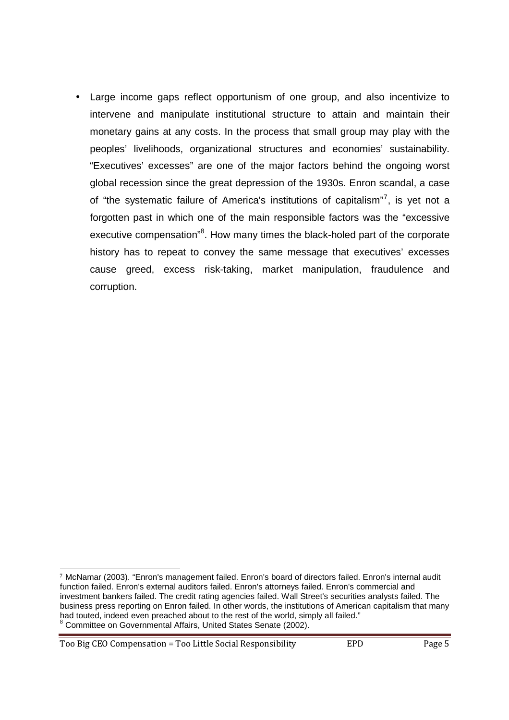• Large income gaps reflect opportunism of one group, and also incentivize to intervene and manipulate institutional structure to attain and maintain their monetary gains at any costs. In the process that small group may play with the peoples' livelihoods, organizational structures and economies' sustainability. "Executives' excesses" are one of the major factors behind the ongoing worst global recession since the great depression of the 1930s. Enron scandal, a case of "the systematic failure of America's institutions of capitalism"<sup>7</sup>, is yet not a forgotten past in which one of the main responsible factors was the "excessive executive compensation"<sup>8</sup>. How many times the black-holed part of the corporate history has to repeat to convey the same message that executives' excesses cause greed, excess risk-taking, market manipulation, fraudulence and corruption.

Too Big CEO Compensation = Too Little Social Responsibility EPD Page 5

**.** 

<sup>7</sup> McNamar (2003). "Enron's management failed. Enron's board of directors failed. Enron's internal audit function failed. Enron's external auditors failed. Enron's attorneys failed. Enron's commercial and investment bankers failed. The credit rating agencies failed. Wall Street's securities analysts failed. The business press reporting on Enron failed. In other words, the institutions of American capitalism that many had touted, indeed even preached about to the rest of the world, simply all failed." 8 Committee on Governmental Affairs, United States Senate (2002).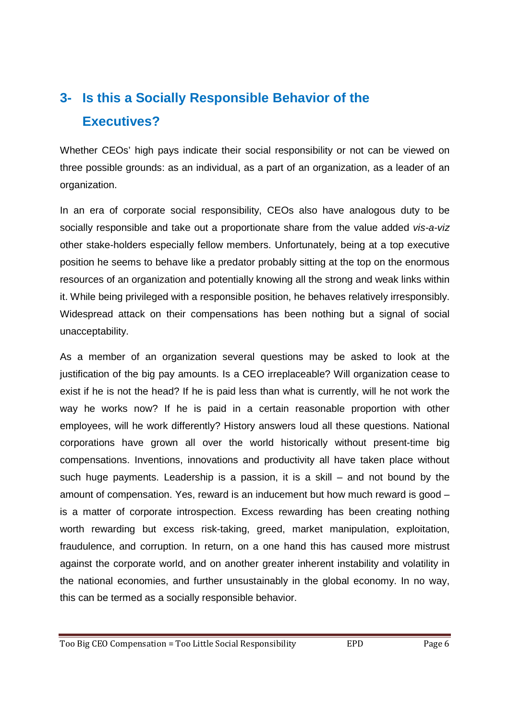## **3- Is this a Socially Responsible Behavior of the Executives?**

Whether CEOs' high pays indicate their social responsibility or not can be viewed on three possible grounds: as an individual, as a part of an organization, as a leader of an organization.

In an era of corporate social responsibility, CEOs also have analogous duty to be socially responsible and take out a proportionate share from the value added vis-a-viz other stake-holders especially fellow members. Unfortunately, being at a top executive position he seems to behave like a predator probably sitting at the top on the enormous resources of an organization and potentially knowing all the strong and weak links within it. While being privileged with a responsible position, he behaves relatively irresponsibly. Widespread attack on their compensations has been nothing but a signal of social unacceptability.

As a member of an organization several questions may be asked to look at the justification of the big pay amounts. Is a CEO irreplaceable? Will organization cease to exist if he is not the head? If he is paid less than what is currently, will he not work the way he works now? If he is paid in a certain reasonable proportion with other employees, will he work differently? History answers loud all these questions. National corporations have grown all over the world historically without present-time big compensations. Inventions, innovations and productivity all have taken place without such huge payments. Leadership is a passion, it is a skill – and not bound by the amount of compensation. Yes, reward is an inducement but how much reward is good – is a matter of corporate introspection. Excess rewarding has been creating nothing worth rewarding but excess risk-taking, greed, market manipulation, exploitation, fraudulence, and corruption. In return, on a one hand this has caused more mistrust against the corporate world, and on another greater inherent instability and volatility in the national economies, and further unsustainably in the global economy. In no way, this can be termed as a socially responsible behavior.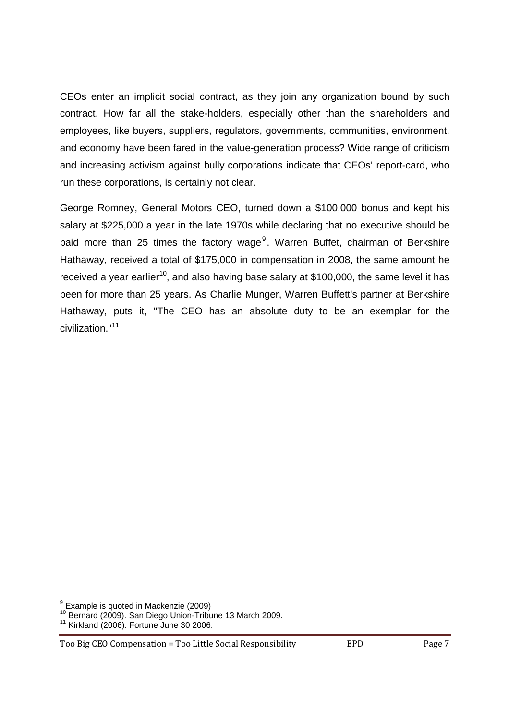CEOs enter an implicit social contract, as they join any organization bound by such contract. How far all the stake-holders, especially other than the shareholders and employees, like buyers, suppliers, regulators, governments, communities, environment, and economy have been fared in the value-generation process? Wide range of criticism and increasing activism against bully corporations indicate that CEOs' report-card, who run these corporations, is certainly not clear.

George Romney, General Motors CEO, turned down a \$100,000 bonus and kept his salary at \$225,000 a year in the late 1970s while declaring that no executive should be paid more than 25 times the factory wage<sup>9</sup>. Warren Buffet, chairman of Berkshire Hathaway, received a total of \$175,000 in compensation in 2008, the same amount he received a year earlier<sup>10</sup>, and also having base salary at \$100,000, the same level it has been for more than 25 years. As Charlie Munger, Warren Buffett's partner at Berkshire Hathaway, puts it, "The CEO has an absolute duty to be an exemplar for the civilization."<sup>11</sup> 

 9 Example is quoted in Mackenzie (2009)

<sup>&</sup>lt;sup>10</sup> Bernard (2009). San Diego Union-Tribune 13 March 2009.

 $11$  Kirkland (2006). Fortune June 30 2006.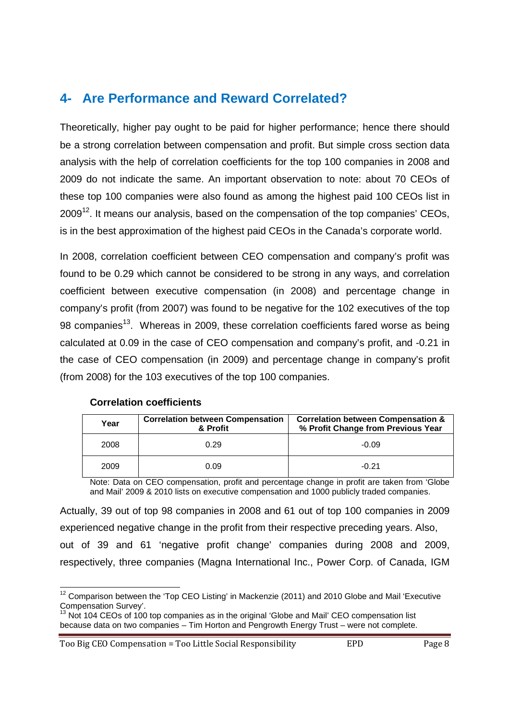## **4- Are Performance and Reward Correlated?**

Theoretically, higher pay ought to be paid for higher performance; hence there should be a strong correlation between compensation and profit. But simple cross section data analysis with the help of correlation coefficients for the top 100 companies in 2008 and 2009 do not indicate the same. An important observation to note: about 70 CEOs of these top 100 companies were also found as among the highest paid 100 CEOs list in  $2009<sup>12</sup>$ . It means our analysis, based on the compensation of the top companies' CEOs, is in the best approximation of the highest paid CEOs in the Canada's corporate world.

In 2008, correlation coefficient between CEO compensation and company's profit was found to be 0.29 which cannot be considered to be strong in any ways, and correlation coefficient between executive compensation (in 2008) and percentage change in company's profit (from 2007) was found to be negative for the 102 executives of the top 98 companies<sup>13</sup>. Whereas in 2009, these correlation coefficients fared worse as being calculated at 0.09 in the case of CEO compensation and company's profit, and -0.21 in the case of CEO compensation (in 2009) and percentage change in company's profit (from 2008) for the 103 executives of the top 100 companies.

| Year | <b>Correlation between Compensation</b><br>& Profit | <b>Correlation between Compensation &amp;</b><br>% Profit Change from Previous Year |
|------|-----------------------------------------------------|-------------------------------------------------------------------------------------|
| 2008 | 0.29                                                | $-0.09$                                                                             |
| 2009 | 0.09                                                | $-0.21$                                                                             |

#### **Correlation coefficients**

Note: Data on CEO compensation, profit and percentage change in profit are taken from 'Globe and Mail' 2009 & 2010 lists on executive compensation and 1000 publicly traded companies.

Actually, 39 out of top 98 companies in 2008 and 61 out of top 100 companies in 2009 experienced negative change in the profit from their respective preceding years. Also, out of 39 and 61 'negative profit change' companies during 2008 and 2009, respectively, three companies (Magna International Inc., Power Corp. of Canada, IGM

Too Big CEO Compensation = Too Little Social Responsibility EPD Page 8

  $12$  Comparison between the 'Top CEO Listing' in Mackenzie (2011) and 2010 Globe and Mail 'Executive Compensation Survey'.

 $3$  Not 104 CEOs of 100 top companies as in the original 'Globe and Mail' CEO compensation list because data on two companies – Tim Horton and Pengrowth Energy Trust – were not complete.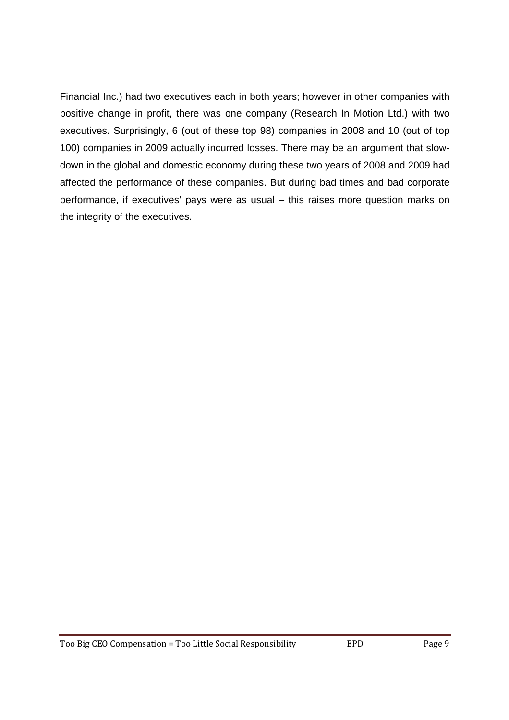Financial Inc.) had two executives each in both years; however in other companies with positive change in profit, there was one company (Research In Motion Ltd.) with two executives. Surprisingly, 6 (out of these top 98) companies in 2008 and 10 (out of top 100) companies in 2009 actually incurred losses. There may be an argument that slowdown in the global and domestic economy during these two years of 2008 and 2009 had affected the performance of these companies. But during bad times and bad corporate performance, if executives' pays were as usual – this raises more question marks on the integrity of the executives.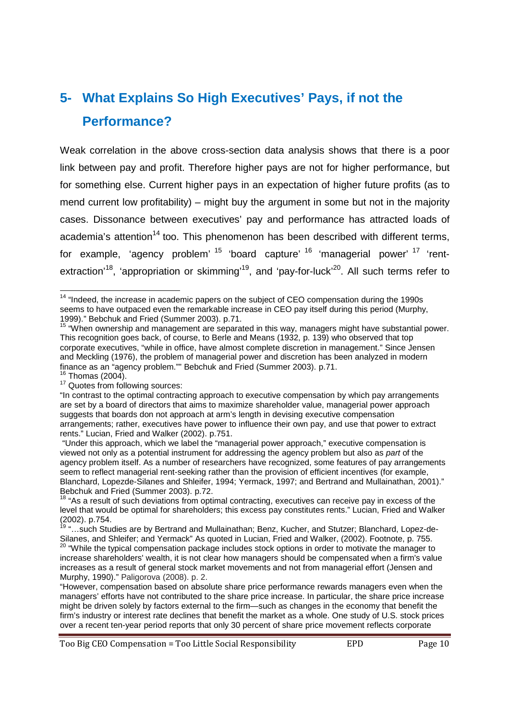## **5- What Explains So High Executives' Pays, if not the Performance?**

Weak correlation in the above cross-section data analysis shows that there is a poor link between pay and profit. Therefore higher pays are not for higher performance, but for something else. Current higher pays in an expectation of higher future profits (as to mend current low profitability) – might buy the argument in some but not in the majority cases. Dissonance between executives' pay and performance has attracted loads of academia's attention<sup>14</sup> too. This phenomenon has been described with different terms, for example, 'agency problem' <sup>15</sup> 'board capture' <sup>16</sup> 'managerial power' <sup>17</sup> 'rentextraction<sup>'18</sup>, 'appropriation or skimming<sup>'19</sup>, and 'pay-for-luck'<sup>20</sup>. All such terms refer to

  $14$  "Indeed, the increase in academic papers on the subject of CEO compensation during the 1990s seems to have outpaced even the remarkable increase in CEO pay itself during this period (Murphy, 1999)." Bebchuk and Fried (Summer 2003). p.71.

<sup>&</sup>lt;sup>15</sup> "When ownership and management are separated in this way, managers might have substantial power. This recognition goes back, of course, to Berle and Means (1932, p. 139) who observed that top corporate executives, "while in office, have almost complete discretion in management." Since Jensen and Meckling (1976), the problem of managerial power and discretion has been analyzed in modern finance as an "agency problem."" Bebchuk and Fried (Summer 2003). p.71.  $16$  Thomas (2004).

<sup>&</sup>lt;sup>17</sup> Quotes from following sources:

<sup>&</sup>quot;In contrast to the optimal contracting approach to executive compensation by which pay arrangements are set by a board of directors that aims to maximize shareholder value, managerial power approach suggests that boards don not approach at arm's length in devising executive compensation arrangements; rather, executives have power to influence their own pay, and use that power to extract rents." Lucian, Fried and Walker (2002). p.751.

 <sup>&</sup>quot;Under this approach, which we label the "managerial power approach," executive compensation is viewed not only as a potential instrument for addressing the agency problem but also as part of the agency problem itself. As a number of researchers have recognized, some features of pay arrangements seem to reflect managerial rent-seeking rather than the provision of efficient incentives (for example, Blanchard, Lopezde-Silanes and Shleifer, 1994; Yermack, 1997; and Bertrand and Mullainathan, 2001)." Bebchuk and Fried (Summer 2003). p.72.

<sup>&</sup>lt;sup>18</sup> "As a result of such deviations from optimal contracting, executives can receive pay in excess of the level that would be optimal for shareholders; this excess pay constitutes rents." Lucian, Fried and Walker (2002). p.754.

<sup>&</sup>lt;sup>19</sup> "...such Studies are by Bertrand and Mullainathan; Benz, Kucher, and Stutzer; Blanchard, Lopez-de-Silanes, and Shleifer; and Yermack" As quoted in Lucian, Fried and Walker, (2002). Footnote, p. 755.

<sup>&</sup>lt;sup>20</sup> "While the typical compensation package includes stock options in order to motivate the manager to increase shareholders' wealth, it is not clear how managers should be compensated when a firm's value increases as a result of general stock market movements and not from managerial effort (Jensen and Murphy, 1990)." Paligorova (2008). p. 2.

<sup>&</sup>quot;However, compensation based on absolute share price performance rewards managers even when the managers' efforts have not contributed to the share price increase. In particular, the share price increase might be driven solely by factors external to the firm—such as changes in the economy that benefit the firm's industry or interest rate declines that benefit the market as a whole. One study of U.S. stock prices over a recent ten-year period reports that only 30 percent of share price movement reflects corporate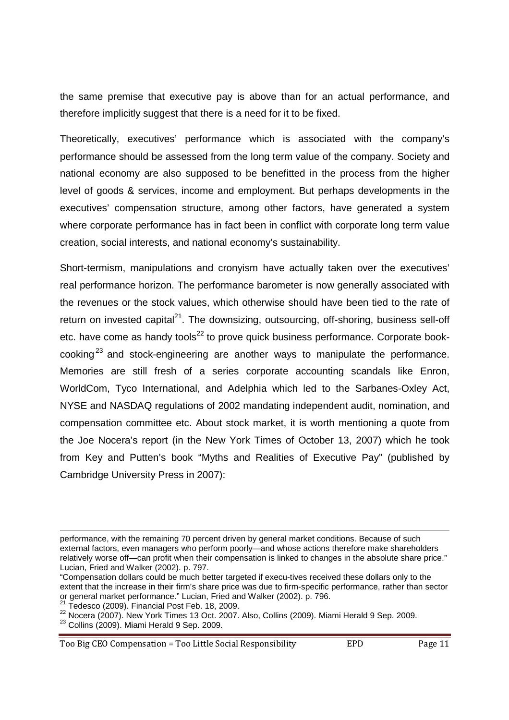the same premise that executive pay is above than for an actual performance, and therefore implicitly suggest that there is a need for it to be fixed.

Theoretically, executives' performance which is associated with the company's performance should be assessed from the long term value of the company. Society and national economy are also supposed to be benefitted in the process from the higher level of goods & services, income and employment. But perhaps developments in the executives' compensation structure, among other factors, have generated a system where corporate performance has in fact been in conflict with corporate long term value creation, social interests, and national economy's sustainability.

Short-termism, manipulations and cronyism have actually taken over the executives' real performance horizon. The performance barometer is now generally associated with the revenues or the stock values, which otherwise should have been tied to the rate of return on invested capital<sup>21</sup>. The downsizing, outsourcing, off-shoring, business sell-off etc. have come as handy tools $^{22}$  to prove quick business performance. Corporate bookcooking<sup>23</sup> and stock-engineering are another ways to manipulate the performance. Memories are still fresh of a series corporate accounting scandals like Enron, WorldCom, Tyco International, and Adelphia which led to the Sarbanes-Oxley Act, NYSE and NASDAQ regulations of 2002 mandating independent audit, nomination, and compensation committee etc. About stock market, it is worth mentioning a quote from the Joe Nocera's report (in the New York Times of October 13, 2007) which he took from Key and Putten's book "Myths and Realities of Executive Pay" (published by Cambridge University Press in 2007):

Tedesco (2009). Financial Post Feb. 18, 2009.

<sup>22</sup> Nocera (2007). New York Times 13 Oct. 2007. Also, Collins (2009). Miami Herald 9 Sep. 2009.

**.** 

Too Big CEO Compensation = Too Little Social Responsibility EPD Page 11

performance, with the remaining 70 percent driven by general market conditions. Because of such external factors, even managers who perform poorly—and whose actions therefore make shareholders relatively worse off—can profit when their compensation is linked to changes in the absolute share price." Lucian, Fried and Walker (2002). p. 797.

<sup>&</sup>quot;Compensation dollars could be much better targeted if execu-tives received these dollars only to the extent that the increase in their firm's share price was due to firm-specific performance, rather than sector or general market performance." Lucian, Fried and Walker (2002). p. 796.

 $23$  Collins (2009). Miami Herald 9 Sep. 2009.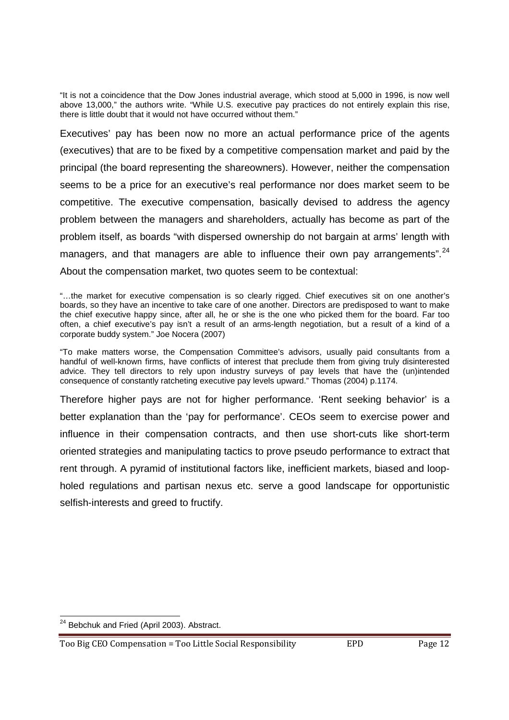"It is not a coincidence that the Dow Jones industrial average, which stood at 5,000 in 1996, is now well above 13,000," the authors write. "While U.S. executive pay practices do not entirely explain this rise, there is little doubt that it would not have occurred without them."

Executives' pay has been now no more an actual performance price of the agents (executives) that are to be fixed by a competitive compensation market and paid by the principal (the board representing the shareowners). However, neither the compensation seems to be a price for an executive's real performance nor does market seem to be competitive. The executive compensation, basically devised to address the agency problem between the managers and shareholders, actually has become as part of the problem itself, as boards "with dispersed ownership do not bargain at arms' length with managers, and that managers are able to influence their own pay arrangements".<sup>24</sup> About the compensation market, two quotes seem to be contextual:

"…the market for executive compensation is so clearly rigged. Chief executives sit on one another's boards, so they have an incentive to take care of one another. Directors are predisposed to want to make the chief executive happy since, after all, he or she is the one who picked them for the board. Far too often, a chief executive's pay isn't a result of an arms-length negotiation, but a result of a kind of a corporate buddy system." Joe Nocera (2007)

"To make matters worse, the Compensation Committee's advisors, usually paid consultants from a handful of well-known firms, have conflicts of interest that preclude them from giving truly disinterested advice. They tell directors to rely upon industry surveys of pay levels that have the (un)intended consequence of constantly ratcheting executive pay levels upward." Thomas (2004) p.1174.

Therefore higher pays are not for higher performance. 'Rent seeking behavior' is a better explanation than the 'pay for performance'. CEOs seem to exercise power and influence in their compensation contracts, and then use short-cuts like short-term oriented strategies and manipulating tactics to prove pseudo performance to extract that rent through. A pyramid of institutional factors like, inefficient markets, biased and loopholed regulations and partisan nexus etc. serve a good landscape for opportunistic selfish-interests and greed to fructify.

 <sup>24</sup> Bebchuk and Fried (April 2003). Abstract.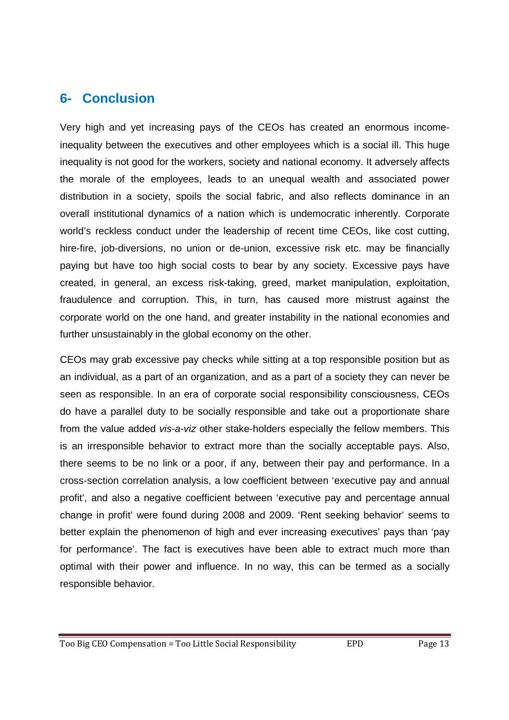#### **6- Conclusion**

Very high and yet increasing pays of the CEOs has created an enormous incomeinequality between the executives and other employees which is a social ill. This huge inequality is not good for the workers, society and national economy. It adversely affects the morale of the employees, leads to an unequal wealth and associated power distribution in a society, spoils the social fabric, and also reflects dominance in an overall institutional dynamics of a nation which is undemocratic inherently. Corporate world's reckless conduct under the leadership of recent time CEOs, like cost cutting, hire-fire, job-diversions, no union or de-union, excessive risk etc. may be financially paying but have too high social costs to bear by any society. Excessive pays have created, in general, an excess risk-taking, greed, market manipulation, exploitation, fraudulence and corruption. This, in turn, has caused more mistrust against the corporate world on the one hand, and greater instability in the national economies and further unsustainably in the global economy on the other.

CEOs may grab excessive pay checks while sitting at a top responsible position but as an individual, as a part of an organization, and as a part of a society they can never be seen as responsible. In an era of corporate social responsibility consciousness, CEOs do have a parallel duty to be socially responsible and take out a proportionate share from the value added vis-a-viz other stake-holders especially the fellow members. This is an irresponsible behavior to extract more than the socially acceptable pays. Also, there seems to be no link or a poor, if any, between their pay and performance. In a cross-section correlation analysis, a low coefficient between 'executive pay and annual profit', and also a negative coefficient between 'executive pay and percentage annual change in profit' were found during 2008 and 2009. 'Rent seeking behavior' seems to better explain the phenomenon of high and ever increasing executives' pays than 'pay for performance'. The fact is executives have been able to extract much more than optimal with their power and influence. In no way, this can be termed as a socially responsible behavior.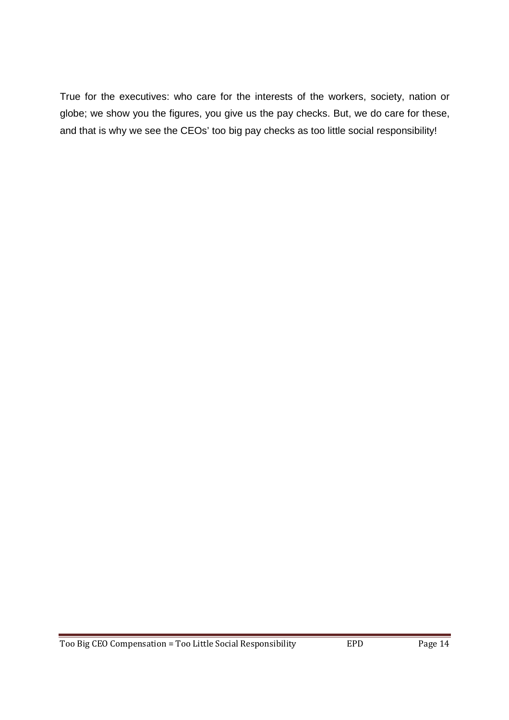True for the executives: who care for the interests of the workers, society, nation or globe; we show you the figures, you give us the pay checks. But, we do care for these, and that is why we see the CEOs' too big pay checks as too little social responsibility!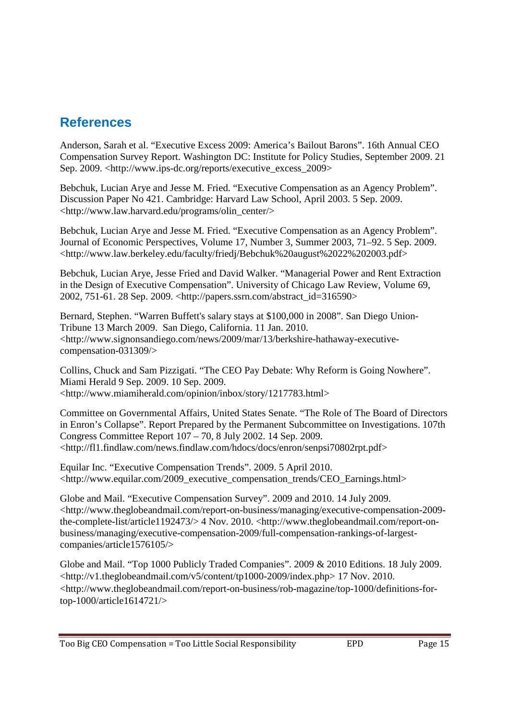## **References**

Anderson, Sarah et al. "Executive Excess 2009: America's Bailout Barons". 16th Annual CEO Compensation Survey Report. Washington DC: Institute for Policy Studies, September 2009. 21 Sep. 2009. <http://www.ips-dc.org/reports/executive\_excess\_2009>

Bebchuk, Lucian Arye and Jesse M. Fried. "Executive Compensation as an Agency Problem". Discussion Paper No 421. Cambridge: Harvard Law School, April 2003. 5 Sep. 2009. <http://www.law.harvard.edu/programs/olin\_center/>

Bebchuk, Lucian Arye and Jesse M. Fried. "Executive Compensation as an Agency Problem". Journal of Economic Perspectives, Volume 17, Number 3, Summer 2003, 71–92. 5 Sep. 2009. <http://www.law.berkeley.edu/faculty/friedj/Bebchuk%20august%2022%202003.pdf>

Bebchuk, Lucian Arye, Jesse Fried and David Walker. "Managerial Power and Rent Extraction in the Design of Executive Compensation". University of Chicago Law Review, Volume 69, 2002, 751-61. 28 Sep. 2009. <http://papers.ssrn.com/abstract\_id=316590>

Bernard, Stephen. "Warren Buffett's salary stays at \$100,000 in 2008". San Diego Union-Tribune 13 March 2009. San Diego, California. 11 Jan. 2010. <http://www.signonsandiego.com/news/2009/mar/13/berkshire-hathaway-executivecompensation-031309/>

Collins, Chuck and Sam Pizzigati. "The CEO Pay Debate: Why Reform is Going Nowhere". Miami Herald 9 Sep. 2009. 10 Sep. 2009. <http://www.miamiherald.com/opinion/inbox/story/1217783.html>

Committee on Governmental Affairs, United States Senate. "The Role of The Board of Directors in Enron's Collapse". Report Prepared by the Permanent Subcommittee on Investigations. 107th Congress Committee Report 107 – 70, 8 July 2002. 14 Sep. 2009. <http://fl1.findlaw.com/news.findlaw.com/hdocs/docs/enron/senpsi70802rpt.pdf>

Equilar Inc. "Executive Compensation Trends". 2009. 5 April 2010. <http://www.equilar.com/2009\_executive\_compensation\_trends/CEO\_Earnings.html>

Globe and Mail. "Executive Compensation Survey". 2009 and 2010. 14 July 2009. <http://www.theglobeandmail.com/report-on-business/managing/executive-compensation-2009 the-complete-list/article1192473/> 4 Nov. 2010. <http://www.theglobeandmail.com/report-onbusiness/managing/executive-compensation-2009/full-compensation-rankings-of-largestcompanies/article1576105/>

Globe and Mail. "Top 1000 Publicly Traded Companies". 2009 & 2010 Editions. 18 July 2009.  $\lt$ http://v1.theglobeandmail.com/v5/content/tp1000-2009/index.php> 17 Nov. 2010. <http://www.theglobeandmail.com/report-on-business/rob-magazine/top-1000/definitions-fortop-1000/article1614721/>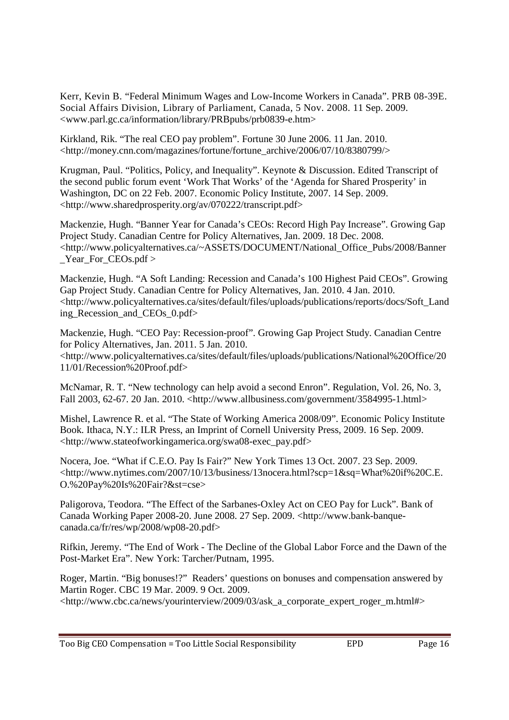Kerr, Kevin B. "Federal Minimum Wages and Low-Income Workers in Canada". PRB 08-39E. Social Affairs Division, Library of Parliament, Canada, 5 Nov. 2008. 11 Sep. 2009. <www.parl.gc.ca/information/library/PRBpubs/prb0839-e.htm>

Kirkland, Rik. "The real CEO pay problem". Fortune 30 June 2006. 11 Jan. 2010. <http://money.cnn.com/magazines/fortune/fortune\_archive/2006/07/10/8380799/>

Krugman, Paul. "Politics, Policy, and Inequality". Keynote & Discussion. Edited Transcript of the second public forum event 'Work That Works' of the 'Agenda for Shared Prosperity' in Washington, DC on 22 Feb. 2007. Economic Policy Institute, 2007. 14 Sep. 2009. <http://www.sharedprosperity.org/av/070222/transcript.pdf>

Mackenzie, Hugh. "Banner Year for Canada's CEOs: Record High Pay Increase". Growing Gap Project Study. Canadian Centre for Policy Alternatives, Jan. 2009. 18 Dec. 2008. <http://www.policyalternatives.ca/~ASSETS/DOCUMENT/National\_Office\_Pubs/2008/Banner Year For CEOs.pdf >

Mackenzie, Hugh. "A Soft Landing: Recession and Canada's 100 Highest Paid CEOs". Growing Gap Project Study. Canadian Centre for Policy Alternatives, Jan. 2010. 4 Jan. 2010. <http://www.policyalternatives.ca/sites/default/files/uploads/publications/reports/docs/Soft\_Land ing\_Recession\_and\_CEOs\_0.pdf>

Mackenzie, Hugh. "CEO Pay: Recession-proof". Growing Gap Project Study. Canadian Centre for Policy Alternatives, Jan. 2011. 5 Jan. 2010. <http://www.policyalternatives.ca/sites/default/files/uploads/publications/National%20Office/20 11/01/Recession%20Proof.pdf>

McNamar, R. T. "New technology can help avoid a second Enron". Regulation, Vol. 26, No. 3, Fall 2003, 62-67. 20 Jan. 2010. <http://www.allbusiness.com/government/3584995-1.html>

Mishel, Lawrence R. et al. "The State of Working America 2008/09". Economic Policy Institute Book. Ithaca, N.Y.: ILR Press, an Imprint of Cornell University Press, 2009. 16 Sep. 2009. <http://www.stateofworkingamerica.org/swa08-exec\_pay.pdf>

Nocera, Joe. "What if C.E.O. Pay Is Fair?" New York Times 13 Oct. 2007. 23 Sep. 2009.  $\lt$ http://www.nytimes.com/2007/10/13/business/13nocera.html?scp=1&sq=What%20if%20C.E. O.%20Pay%20Is%20Fair?&st=cse>

Paligorova, Teodora. "The Effect of the Sarbanes-Oxley Act on CEO Pay for Luck". Bank of Canada Working Paper 2008-20. June 2008. 27 Sep. 2009. <http://www.bank-banquecanada.ca/fr/res/wp/2008/wp08-20.pdf>

Rifkin, Jeremy. "The End of Work - The Decline of the Global Labor Force and the Dawn of the Post-Market Era". New York: Tarcher/Putnam, 1995.

Roger, Martin. "Big bonuses!?" Readers' questions on bonuses and compensation answered by Martin Roger. CBC 19 Mar. 2009. 9 Oct. 2009. <http://www.cbc.ca/news/yourinterview/2009/03/ask\_a\_corporate\_expert\_roger\_m.html#>